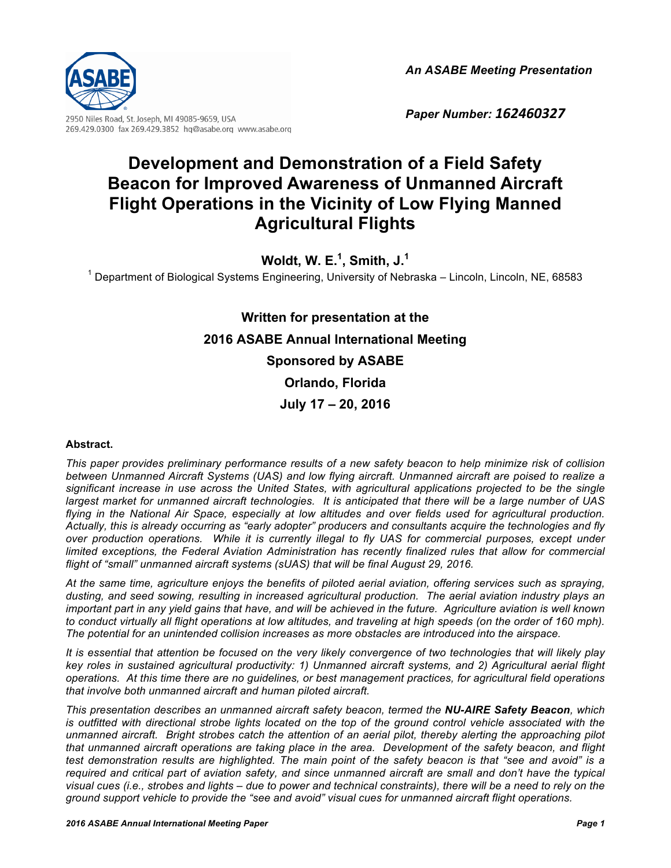*An ASABE Meeting Presentation*



269.429.0300 fax 269.429.3852 hq@asabe.org www.asabe.org

*Paper Number: 162460327*

# **Development and Demonstration of a Field Safety Beacon for Improved Awareness of Unmanned Aircraft Flight Operations in the Vicinity of Low Flying Manned Agricultural Flights**

**Woldt, W. E.1 , Smith, J.1**

 $1$  Department of Biological Systems Engineering, University of Nebraska – Lincoln, Lincoln, NE, 68583

# **Written for presentation at the 2016 ASABE Annual International Meeting Sponsored by ASABE Orlando, Florida July 17 – 20, 2016**

#### **Abstract.**

*This paper provides preliminary performance results of a new safety beacon to help minimize risk of collision between Unmanned Aircraft Systems (UAS) and low flying aircraft. Unmanned aircraft are poised to realize a significant increase in use across the United States, with agricultural applications projected to be the single largest market for unmanned aircraft technologies. It is anticipated that there will be a large number of UAS flying in the National Air Space, especially at low altitudes and over fields used for agricultural production. Actually, this is already occurring as "early adopter" producers and consultants acquire the technologies and fly over production operations. While it is currently illegal to fly UAS for commercial purposes, except under limited exceptions, the Federal Aviation Administration has recently finalized rules that allow for commercial flight of "small" unmanned aircraft systems (sUAS) that will be final August 29, 2016.* 

*At the same time, agriculture enjoys the benefits of piloted aerial aviation, offering services such as spraying, dusting, and seed sowing, resulting in increased agricultural production. The aerial aviation industry plays an important part in any yield gains that have, and will be achieved in the future. Agriculture aviation is well known to conduct virtually all flight operations at low altitudes, and traveling at high speeds (on the order of 160 mph). The potential for an unintended collision increases as more obstacles are introduced into the airspace.*

*It is essential that attention be focused on the very likely convergence of two technologies that will likely play key roles in sustained agricultural productivity: 1) Unmanned aircraft systems, and 2) Agricultural aerial flight operations. At this time there are no guidelines, or best management practices, for agricultural field operations that involve both unmanned aircraft and human piloted aircraft.*

*This presentation describes an unmanned aircraft safety beacon, termed the NU-AIRE Safety Beacon, which is outfitted with directional strobe lights located on the top of the ground control vehicle associated with the unmanned aircraft. Bright strobes catch the attention of an aerial pilot, thereby alerting the approaching pilot that unmanned aircraft operations are taking place in the area. Development of the safety beacon, and flight test demonstration results are highlighted. The main point of the safety beacon is that "see and avoid" is a required and critical part of aviation safety, and since unmanned aircraft are small and don't have the typical visual cues (i.e., strobes and lights – due to power and technical constraints), there will be a need to rely on the ground support vehicle to provide the "see and avoid" visual cues for unmanned aircraft flight operations.*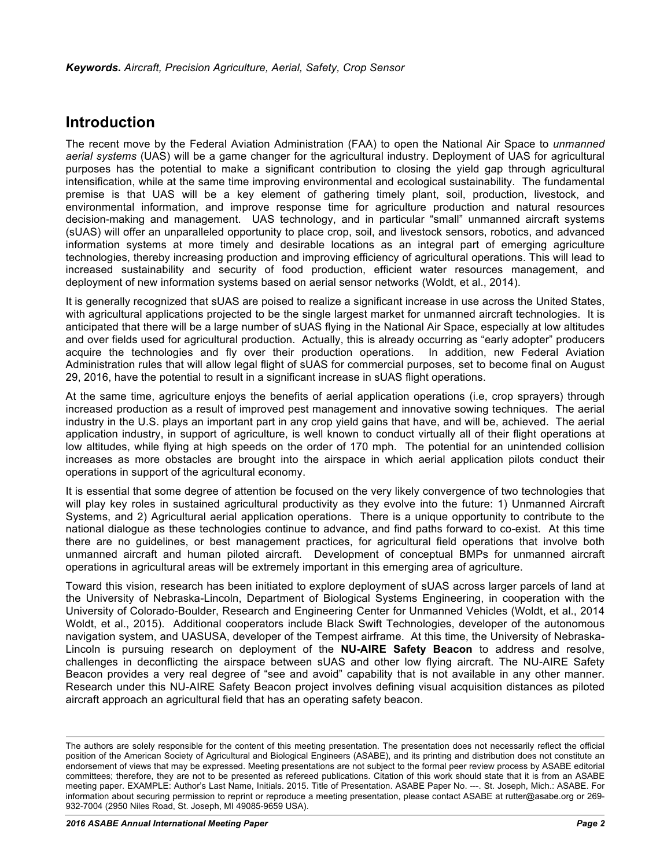### **Introduction**

The recent move by the Federal Aviation Administration (FAA) to open the National Air Space to *unmanned aerial systems* (UAS) will be a game changer for the agricultural industry. Deployment of UAS for agricultural purposes has the potential to make a significant contribution to closing the yield gap through agricultural intensification, while at the same time improving environmental and ecological sustainability. The fundamental premise is that UAS will be a key element of gathering timely plant, soil, production, livestock, and environmental information, and improve response time for agriculture production and natural resources decision-making and management. UAS technology, and in particular "small" unmanned aircraft systems (sUAS) will offer an unparalleled opportunity to place crop, soil, and livestock sensors, robotics, and advanced information systems at more timely and desirable locations as an integral part of emerging agriculture technologies, thereby increasing production and improving efficiency of agricultural operations. This will lead to increased sustainability and security of food production, efficient water resources management, and deployment of new information systems based on aerial sensor networks (Woldt, et al., 2014).

It is generally recognized that sUAS are poised to realize a significant increase in use across the United States, with agricultural applications projected to be the single largest market for unmanned aircraft technologies. It is anticipated that there will be a large number of sUAS flying in the National Air Space, especially at low altitudes and over fields used for agricultural production. Actually, this is already occurring as "early adopter" producers acquire the technologies and fly over their production operations. In addition, new Federal Aviation Administration rules that will allow legal flight of sUAS for commercial purposes, set to become final on August 29, 2016, have the potential to result in a significant increase in sUAS flight operations.

At the same time, agriculture enjoys the benefits of aerial application operations (i.e, crop sprayers) through increased production as a result of improved pest management and innovative sowing techniques. The aerial industry in the U.S. plays an important part in any crop yield gains that have, and will be, achieved. The aerial application industry, in support of agriculture, is well known to conduct virtually all of their flight operations at low altitudes, while flying at high speeds on the order of 170 mph. The potential for an unintended collision increases as more obstacles are brought into the airspace in which aerial application pilots conduct their operations in support of the agricultural economy.

It is essential that some degree of attention be focused on the very likely convergence of two technologies that will play key roles in sustained agricultural productivity as they evolve into the future: 1) Unmanned Aircraft Systems, and 2) Agricultural aerial application operations. There is a unique opportunity to contribute to the national dialogue as these technologies continue to advance, and find paths forward to co-exist. At this time there are no guidelines, or best management practices, for agricultural field operations that involve both unmanned aircraft and human piloted aircraft. Development of conceptual BMPs for unmanned aircraft operations in agricultural areas will be extremely important in this emerging area of agriculture.

Toward this vision, research has been initiated to explore deployment of sUAS across larger parcels of land at the University of Nebraska-Lincoln, Department of Biological Systems Engineering, in cooperation with the University of Colorado-Boulder, Research and Engineering Center for Unmanned Vehicles (Woldt, et al., 2014 Woldt, et al., 2015). Additional cooperators include Black Swift Technologies, developer of the autonomous navigation system, and UASUSA, developer of the Tempest airframe. At this time, the University of Nebraska-Lincoln is pursuing research on deployment of the **NU-AIRE Safety Beacon** to address and resolve, challenges in deconflicting the airspace between sUAS and other low flying aircraft. The NU-AIRE Safety Beacon provides a very real degree of "see and avoid" capability that is not available in any other manner. Research under this NU-AIRE Safety Beacon project involves defining visual acquisition distances as piloted aircraft approach an agricultural field that has an operating safety beacon.

The authors are solely responsible for the content of this meeting presentation. The presentation does not necessarily reflect the official position of the American Society of Agricultural and Biological Engineers (ASABE), and its printing and distribution does not constitute an endorsement of views that may be expressed. Meeting presentations are not subject to the formal peer review process by ASABE editorial committees; therefore, they are not to be presented as refereed publications. Citation of this work should state that it is from an ASABE meeting paper. EXAMPLE: Author's Last Name, Initials. 2015. Title of Presentation. ASABE Paper No. ---. St. Joseph, Mich.: ASABE. For information about securing permission to reprint or reproduce a meeting presentation, please contact ASABE at rutter@asabe.org or 269- 932-7004 (2950 Niles Road, St. Joseph, MI 49085-9659 USA).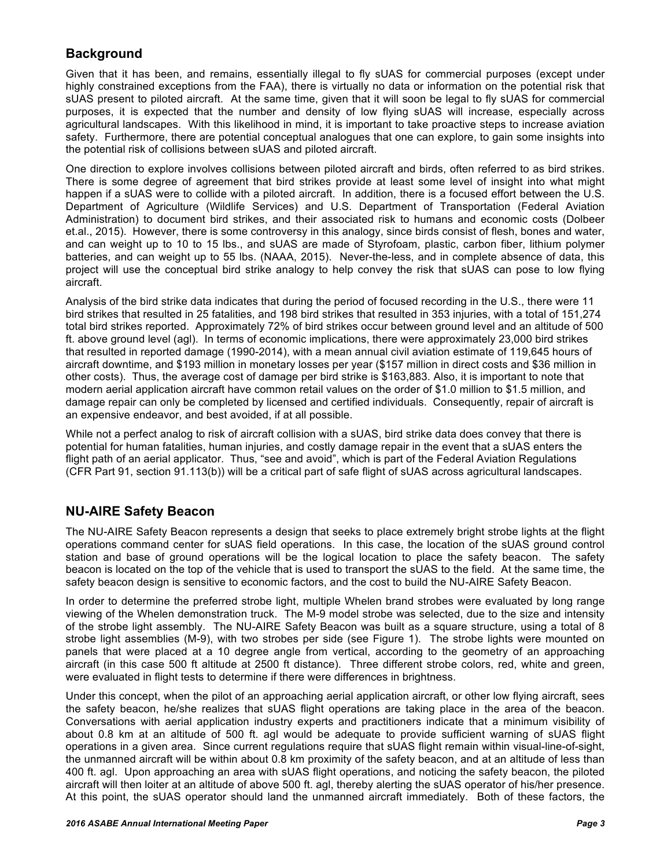### **Background**

Given that it has been, and remains, essentially illegal to fly sUAS for commercial purposes (except under highly constrained exceptions from the FAA), there is virtually no data or information on the potential risk that sUAS present to piloted aircraft. At the same time, given that it will soon be legal to fly sUAS for commercial purposes, it is expected that the number and density of low flying sUAS will increase, especially across agricultural landscapes. With this likelihood in mind, it is important to take proactive steps to increase aviation safety. Furthermore, there are potential conceptual analogues that one can explore, to gain some insights into the potential risk of collisions between sUAS and piloted aircraft.

One direction to explore involves collisions between piloted aircraft and birds, often referred to as bird strikes. There is some degree of agreement that bird strikes provide at least some level of insight into what might happen if a sUAS were to collide with a piloted aircraft. In addition, there is a focused effort between the U.S. Department of Agriculture (Wildlife Services) and U.S. Department of Transportation (Federal Aviation Administration) to document bird strikes, and their associated risk to humans and economic costs (Dolbeer et.al., 2015). However, there is some controversy in this analogy, since birds consist of flesh, bones and water, and can weight up to 10 to 15 lbs., and sUAS are made of Styrofoam, plastic, carbon fiber, lithium polymer batteries, and can weight up to 55 lbs. (NAAA, 2015). Never-the-less, and in complete absence of data, this project will use the conceptual bird strike analogy to help convey the risk that sUAS can pose to low flying aircraft.

Analysis of the bird strike data indicates that during the period of focused recording in the U.S., there were 11 bird strikes that resulted in 25 fatalities, and 198 bird strikes that resulted in 353 injuries, with a total of 151,274 total bird strikes reported. Approximately 72% of bird strikes occur between ground level and an altitude of 500 ft. above ground level (agl). In terms of economic implications, there were approximately 23,000 bird strikes that resulted in reported damage (1990-2014), with a mean annual civil aviation estimate of 119,645 hours of aircraft downtime, and \$193 million in monetary losses per year (\$157 million in direct costs and \$36 million in other costs). Thus, the average cost of damage per bird strike is \$163,883. Also, it is important to note that modern aerial application aircraft have common retail values on the order of \$1.0 million to \$1.5 million, and damage repair can only be completed by licensed and certified individuals. Consequently, repair of aircraft is an expensive endeavor, and best avoided, if at all possible.

While not a perfect analog to risk of aircraft collision with a sUAS, bird strike data does convey that there is potential for human fatalities, human injuries, and costly damage repair in the event that a sUAS enters the flight path of an aerial applicator. Thus, "see and avoid", which is part of the Federal Aviation Regulations (CFR Part 91, section 91.113(b)) will be a critical part of safe flight of sUAS across agricultural landscapes.

### **NU-AIRE Safety Beacon**

The NU-AIRE Safety Beacon represents a design that seeks to place extremely bright strobe lights at the flight operations command center for sUAS field operations. In this case, the location of the sUAS ground control station and base of ground operations will be the logical location to place the safety beacon. The safety beacon is located on the top of the vehicle that is used to transport the sUAS to the field. At the same time, the safety beacon design is sensitive to economic factors, and the cost to build the NU-AIRE Safety Beacon.

In order to determine the preferred strobe light, multiple Whelen brand strobes were evaluated by long range viewing of the Whelen demonstration truck. The M-9 model strobe was selected, due to the size and intensity of the strobe light assembly. The NU-AIRE Safety Beacon was built as a square structure, using a total of 8 strobe light assemblies (M-9), with two strobes per side (see Figure 1). The strobe lights were mounted on panels that were placed at a 10 degree angle from vertical, according to the geometry of an approaching aircraft (in this case 500 ft altitude at 2500 ft distance). Three different strobe colors, red, white and green, were evaluated in flight tests to determine if there were differences in brightness.

Under this concept, when the pilot of an approaching aerial application aircraft, or other low flying aircraft, sees the safety beacon, he/she realizes that sUAS flight operations are taking place in the area of the beacon. Conversations with aerial application industry experts and practitioners indicate that a minimum visibility of about 0.8 km at an altitude of 500 ft. agl would be adequate to provide sufficient warning of sUAS flight operations in a given area. Since current regulations require that sUAS flight remain within visual-line-of-sight, the unmanned aircraft will be within about 0.8 km proximity of the safety beacon, and at an altitude of less than 400 ft. agl. Upon approaching an area with sUAS flight operations, and noticing the safety beacon, the piloted aircraft will then loiter at an altitude of above 500 ft. agl, thereby alerting the sUAS operator of his/her presence. At this point, the sUAS operator should land the unmanned aircraft immediately. Both of these factors, the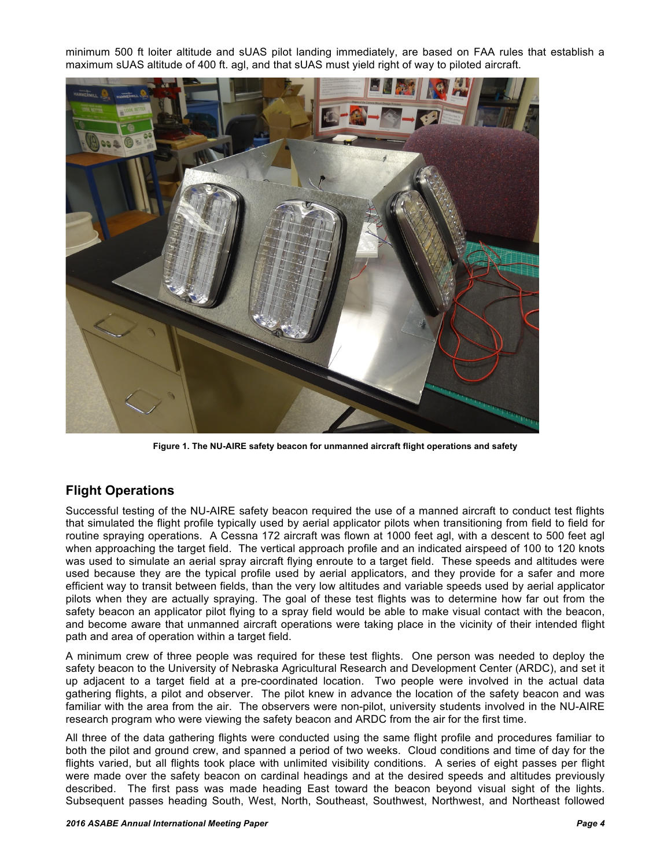minimum 500 ft loiter altitude and sUAS pilot landing immediately, are based on FAA rules that establish a maximum sUAS altitude of 400 ft. agl, and that sUAS must yield right of way to piloted aircraft.



**Figure 1. The NU-AIRE safety beacon for unmanned aircraft flight operations and safety**

### **Flight Operations**

Successful testing of the NU-AIRE safety beacon required the use of a manned aircraft to conduct test flights that simulated the flight profile typically used by aerial applicator pilots when transitioning from field to field for routine spraying operations. A Cessna 172 aircraft was flown at 1000 feet agl, with a descent to 500 feet agl when approaching the target field. The vertical approach profile and an indicated airspeed of 100 to 120 knots was used to simulate an aerial spray aircraft flying enroute to a target field. These speeds and altitudes were used because they are the typical profile used by aerial applicators, and they provide for a safer and more efficient way to transit between fields, than the very low altitudes and variable speeds used by aerial applicator pilots when they are actually spraying. The goal of these test flights was to determine how far out from the safety beacon an applicator pilot flying to a spray field would be able to make visual contact with the beacon, and become aware that unmanned aircraft operations were taking place in the vicinity of their intended flight path and area of operation within a target field.

A minimum crew of three people was required for these test flights. One person was needed to deploy the safety beacon to the University of Nebraska Agricultural Research and Development Center (ARDC), and set it up adjacent to a target field at a pre-coordinated location. Two people were involved in the actual data gathering flights, a pilot and observer. The pilot knew in advance the location of the safety beacon and was familiar with the area from the air. The observers were non-pilot, university students involved in the NU-AIRE research program who were viewing the safety beacon and ARDC from the air for the first time.

All three of the data gathering flights were conducted using the same flight profile and procedures familiar to both the pilot and ground crew, and spanned a period of two weeks. Cloud conditions and time of day for the flights varied, but all flights took place with unlimited visibility conditions. A series of eight passes per flight were made over the safety beacon on cardinal headings and at the desired speeds and altitudes previously described. The first pass was made heading East toward the beacon beyond visual sight of the lights. Subsequent passes heading South, West, North, Southeast, Southwest, Northwest, and Northeast followed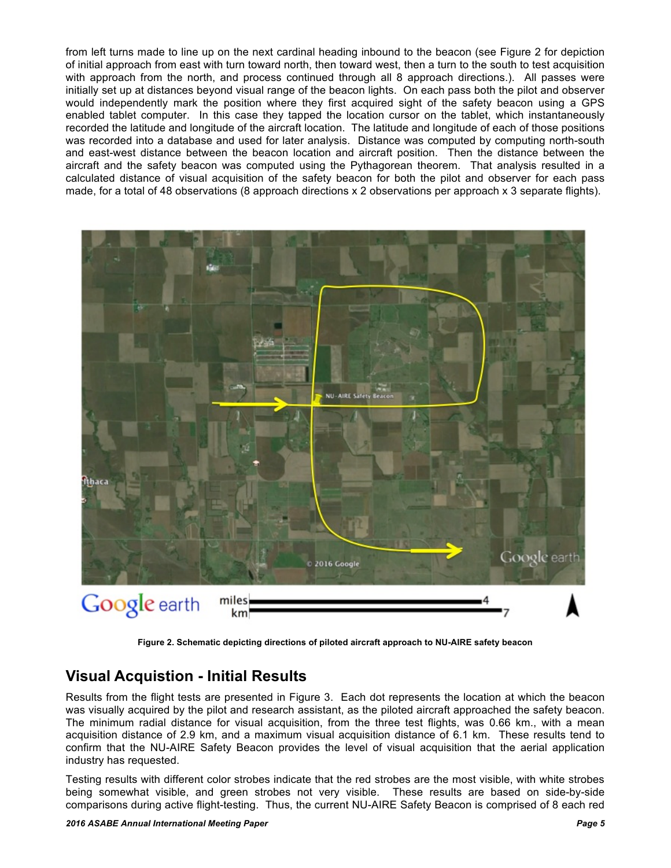from left turns made to line up on the next cardinal heading inbound to the beacon (see Figure 2 for depiction of initial approach from east with turn toward north, then toward west, then a turn to the south to test acquisition with approach from the north, and process continued through all 8 approach directions.). All passes were initially set up at distances beyond visual range of the beacon lights. On each pass both the pilot and observer would independently mark the position where they first acquired sight of the safety beacon using a GPS enabled tablet computer. In this case they tapped the location cursor on the tablet, which instantaneously recorded the latitude and longitude of the aircraft location. The latitude and longitude of each of those positions was recorded into a database and used for later analysis. Distance was computed by computing north-south and east-west distance between the beacon location and aircraft position. Then the distance between the aircraft and the safety beacon was computed using the Pythagorean theorem. That analysis resulted in a calculated distance of visual acquisition of the safety beacon for both the pilot and observer for each pass made, for a total of 48 observations (8 approach directions x 2 observations per approach x 3 separate flights).



**Figure 2. Schematic depicting directions of piloted aircraft approach to NU-AIRE safety beacon**

### **Visual Acquistion - Initial Results**

Results from the flight tests are presented in Figure 3. Each dot represents the location at which the beacon was visually acquired by the pilot and research assistant, as the piloted aircraft approached the safety beacon. The minimum radial distance for visual acquisition, from the three test flights, was 0.66 km., with a mean acquisition distance of 2.9 km, and a maximum visual acquisition distance of 6.1 km. These results tend to confirm that the NU-AIRE Safety Beacon provides the level of visual acquisition that the aerial application industry has requested.

Testing results with different color strobes indicate that the red strobes are the most visible, with white strobes being somewhat visible, and green strobes not very visible. These results are based on side-by-side comparisons during active flight-testing. Thus, the current NU-AIRE Safety Beacon is comprised of 8 each red

#### *2016 ASABE Annual International Meeting Paper Page 5*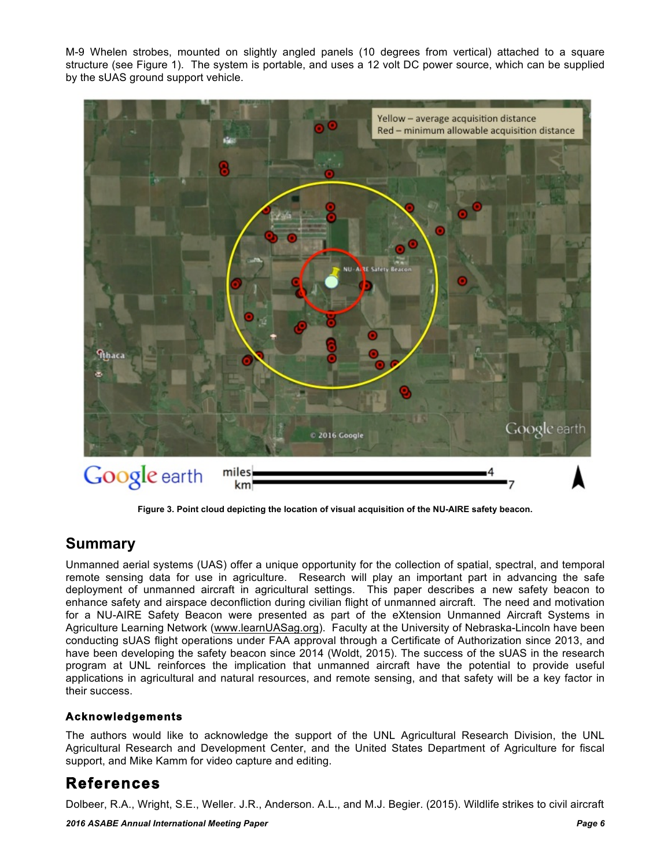M-9 Whelen strobes, mounted on slightly angled panels (10 degrees from vertical) attached to a square structure (see Figure 1). The system is portable, and uses a 12 volt DC power source, which can be supplied by the sUAS ground support vehicle.



**Figure 3. Point cloud depicting the location of visual acquisition of the NU-AIRE safety beacon.**

### **Summary**

Unmanned aerial systems (UAS) offer a unique opportunity for the collection of spatial, spectral, and temporal remote sensing data for use in agriculture. Research will play an important part in advancing the safe deployment of unmanned aircraft in agricultural settings. This paper describes a new safety beacon to enhance safety and airspace deconfliction during civilian flight of unmanned aircraft. The need and motivation for a NU-AIRE Safety Beacon were presented as part of the eXtension Unmanned Aircraft Systems in Agriculture Learning Network (www.learnUASag.org). Faculty at the University of Nebraska-Lincoln have been conducting sUAS flight operations under FAA approval through a Certificate of Authorization since 2013, and have been developing the safety beacon since 2014 (Woldt, 2015). The success of the sUAS in the research program at UNL reinforces the implication that unmanned aircraft have the potential to provide useful applications in agricultural and natural resources, and remote sensing, and that safety will be a key factor in their success.

#### **Acknowledgements**

The authors would like to acknowledge the support of the UNL Agricultural Research Division, the UNL Agricultural Research and Development Center, and the United States Department of Agriculture for fiscal support, and Mike Kamm for video capture and editing.

## **References**

Dolbeer, R.A., Wright, S.E., Weller. J.R., Anderson. A.L., and M.J. Begier. (2015). Wildlife strikes to civil aircraft